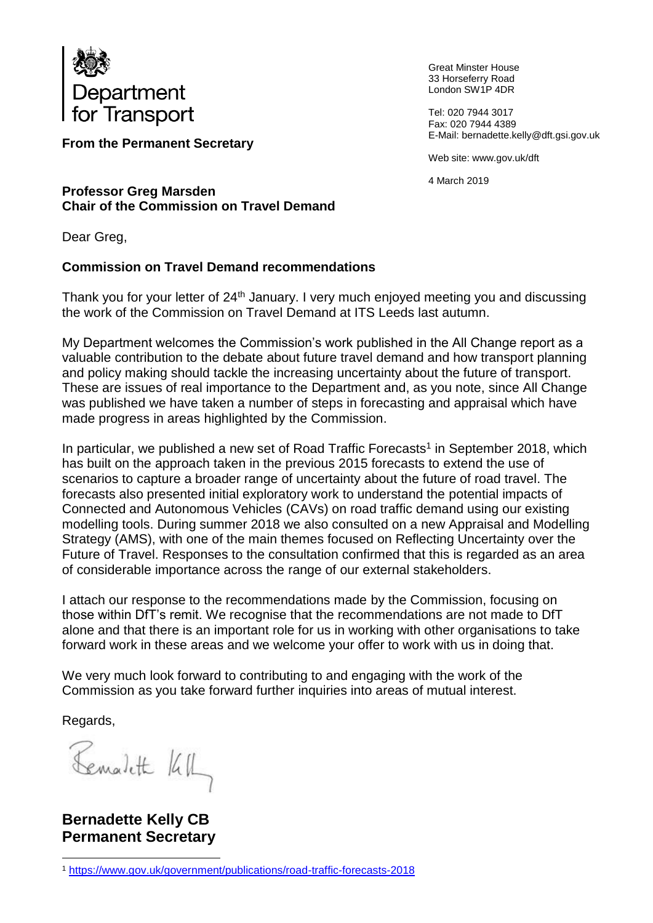

**From the Permanent Secretary**

Great Minster House 33 Horseferry Road London SW1P 4DR

Tel: 020 7944 3017 Fax: 020 7944 4389 E-Mail: bernadette.kelly@dft.gsi.gov.uk

Web site: www.gov.uk/dft

4 March 2019

#### **Professor Greg Marsden Chair of the Commission on Travel Demand**

Dear Greg,

# **Commission on Travel Demand recommendations**

Thank you for your letter of 24<sup>th</sup> January. I very much enjoyed meeting you and discussing the work of the Commission on Travel Demand at ITS Leeds last autumn.

My Department welcomes the Commission's work published in the All Change report as a valuable contribution to the debate about future travel demand and how transport planning and policy making should tackle the increasing uncertainty about the future of transport. These are issues of real importance to the Department and, as you note, since All Change was published we have taken a number of steps in forecasting and appraisal which have made progress in areas highlighted by the Commission.

In particular, we published a new set of Road Traffic Forecasts<sup>1</sup> in September 2018, which has built on the approach taken in the previous 2015 forecasts to extend the use of scenarios to capture a broader range of uncertainty about the future of road travel. The forecasts also presented initial exploratory work to understand the potential impacts of Connected and Autonomous Vehicles (CAVs) on road traffic demand using our existing modelling tools. During summer 2018 we also consulted on a new Appraisal and Modelling Strategy (AMS), with one of the main themes focused on Reflecting Uncertainty over the Future of Travel. Responses to the consultation confirmed that this is regarded as an area of considerable importance across the range of our external stakeholders.

I attach our response to the recommendations made by the Commission, focusing on those within DfT's remit. We recognise that the recommendations are not made to DfT alone and that there is an important role for us in working with other organisations to take forward work in these areas and we welcome your offer to work with us in doing that.

We very much look forward to contributing to and engaging with the work of the Commission as you take forward further inquiries into areas of mutual interest.

Regards,

Bemalett KIL

**Bernadette Kelly CB Permanent Secretary** 

<sup>1</sup> <sup>1</sup> <https://www.gov.uk/government/publications/road-traffic-forecasts-2018>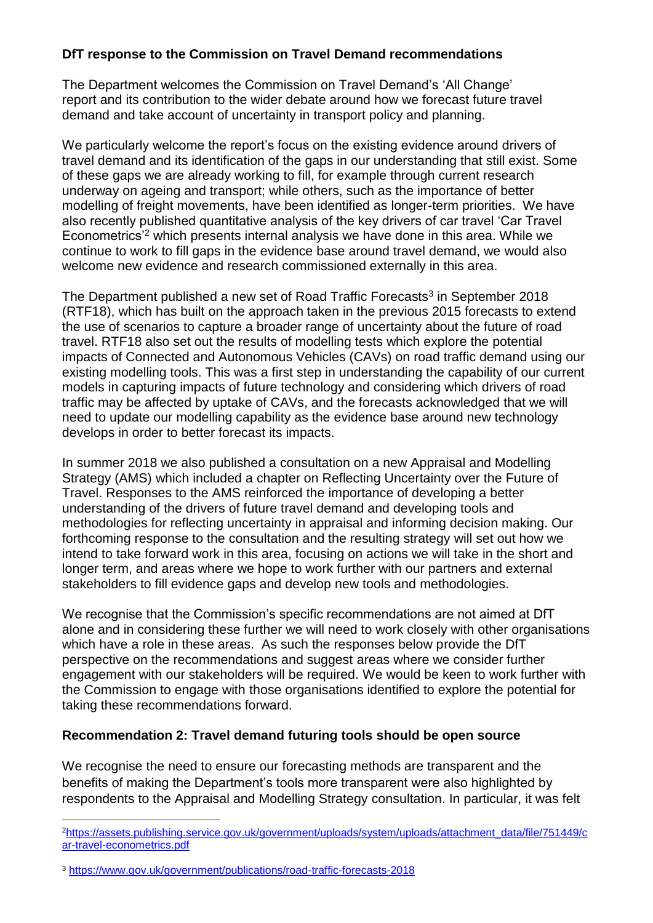### **DfT response to the Commission on Travel Demand recommendations**

The Department welcomes the Commission on Travel Demand's 'All Change' report and its contribution to the wider debate around how we forecast future travel demand and take account of uncertainty in transport policy and planning.

We particularly welcome the report's focus on the existing evidence around drivers of travel demand and its identification of the gaps in our understanding that still exist. Some of these gaps we are already working to fill, for example through current research underway on ageing and transport; while others, such as the importance of better modelling of freight movements, have been identified as longer-term priorities. We have also recently published quantitative analysis of the key drivers of car travel 'Car Travel Econometrics'<sup>2</sup> which presents internal analysis we have done in this area. While we continue to work to fill gaps in the evidence base around travel demand, we would also welcome new evidence and research commissioned externally in this area.

The Department published a new set of Road Traffic Forecasts<sup>3</sup> in September 2018 (RTF18), which has built on the approach taken in the previous 2015 forecasts to extend the use of scenarios to capture a broader range of uncertainty about the future of road travel. RTF18 also set out the results of modelling tests which explore the potential impacts of Connected and Autonomous Vehicles (CAVs) on road traffic demand using our existing modelling tools. This was a first step in understanding the capability of our current models in capturing impacts of future technology and considering which drivers of road traffic may be affected by uptake of CAVs, and the forecasts acknowledged that we will need to update our modelling capability as the evidence base around new technology develops in order to better forecast its impacts.

In summer 2018 we also published a consultation on a new Appraisal and Modelling Strategy (AMS) which included a chapter on Reflecting Uncertainty over the Future of Travel. Responses to the AMS reinforced the importance of developing a better understanding of the drivers of future travel demand and developing tools and methodologies for reflecting uncertainty in appraisal and informing decision making. Our forthcoming response to the consultation and the resulting strategy will set out how we intend to take forward work in this area, focusing on actions we will take in the short and longer term, and areas where we hope to work further with our partners and external stakeholders to fill evidence gaps and develop new tools and methodologies.

We recognise that the Commission's specific recommendations are not aimed at DfT alone and in considering these further we will need to work closely with other organisations which have a role in these areas. As such the responses below provide the DfT perspective on the recommendations and suggest areas where we consider further engagement with our stakeholders will be required. We would be keen to work further with the Commission to engage with those organisations identified to explore the potential for taking these recommendations forward.

#### **Recommendation 2: Travel demand futuring tools should be open source**

We recognise the need to ensure our forecasting methods are transparent and the benefits of making the Department's tools more transparent were also highlighted by respondents to the Appraisal and Modelling Strategy consultation. In particular, it was felt

<sup>1</sup> <sup>2</sup>[https://assets.publishing.service.gov.uk/government/uploads/system/uploads/attachment\\_data/file/751449/c](https://assets.publishing.service.gov.uk/government/uploads/system/uploads/attachment_data/file/751449/car-travel-econometrics.pdf) [ar-travel-econometrics.pdf](https://assets.publishing.service.gov.uk/government/uploads/system/uploads/attachment_data/file/751449/car-travel-econometrics.pdf)

<sup>3</sup> <https://www.gov.uk/government/publications/road-traffic-forecasts-2018>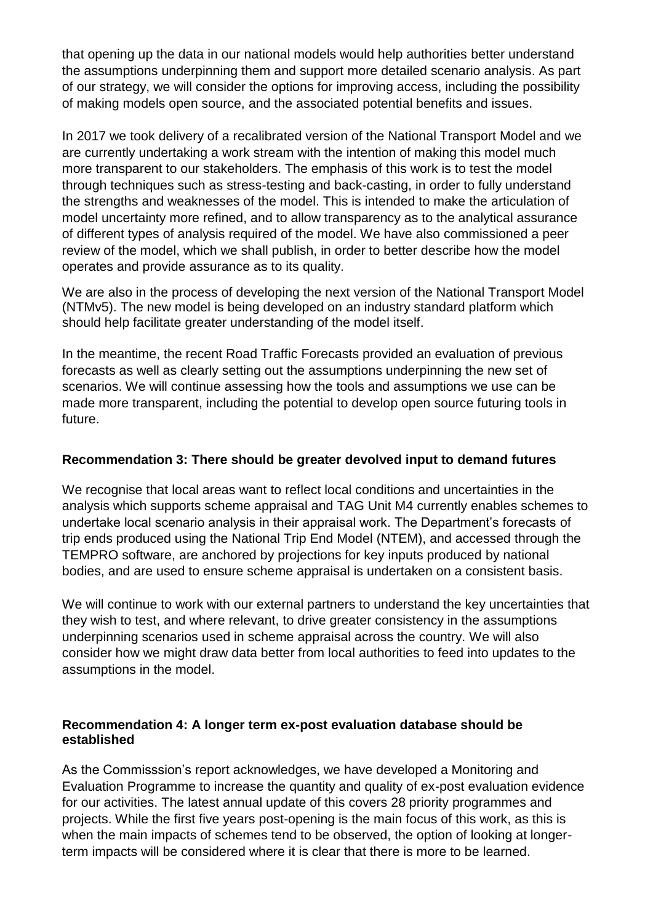that opening up the data in our national models would help authorities better understand the assumptions underpinning them and support more detailed scenario analysis. As part of our strategy, we will consider the options for improving access, including the possibility of making models open source, and the associated potential benefits and issues.

In 2017 we took delivery of a recalibrated version of the National Transport Model and we are currently undertaking a work stream with the intention of making this model much more transparent to our stakeholders. The emphasis of this work is to test the model through techniques such as stress-testing and back-casting, in order to fully understand the strengths and weaknesses of the model. This is intended to make the articulation of model uncertainty more refined, and to allow transparency as to the analytical assurance of different types of analysis required of the model. We have also commissioned a peer review of the model, which we shall publish, in order to better describe how the model operates and provide assurance as to its quality.

We are also in the process of developing the next version of the National Transport Model (NTMv5). The new model is being developed on an industry standard platform which should help facilitate greater understanding of the model itself.

In the meantime, the recent Road Traffic Forecasts provided an evaluation of previous forecasts as well as clearly setting out the assumptions underpinning the new set of scenarios. We will continue assessing how the tools and assumptions we use can be made more transparent, including the potential to develop open source futuring tools in future.

### **Recommendation 3: There should be greater devolved input to demand futures**

We recognise that local areas want to reflect local conditions and uncertainties in the analysis which supports scheme appraisal and TAG Unit M4 currently enables schemes to undertake local scenario analysis in their appraisal work. The Department's forecasts of trip ends produced using the National Trip End Model (NTEM), and accessed through the TEMPRO software, are anchored by projections for key inputs produced by national bodies, and are used to ensure scheme appraisal is undertaken on a consistent basis.

We will continue to work with our external partners to understand the key uncertainties that they wish to test, and where relevant, to drive greater consistency in the assumptions underpinning scenarios used in scheme appraisal across the country. We will also consider how we might draw data better from local authorities to feed into updates to the assumptions in the model.

### **Recommendation 4: A longer term ex-post evaluation database should be established**

As the Commisssion's report acknowledges, we have developed a Monitoring and Evaluation Programme to increase the quantity and quality of ex-post evaluation evidence for our activities. The latest annual update of this covers 28 priority programmes and projects. While the first five years post-opening is the main focus of this work, as this is when the main impacts of schemes tend to be observed, the option of looking at longerterm impacts will be considered where it is clear that there is more to be learned.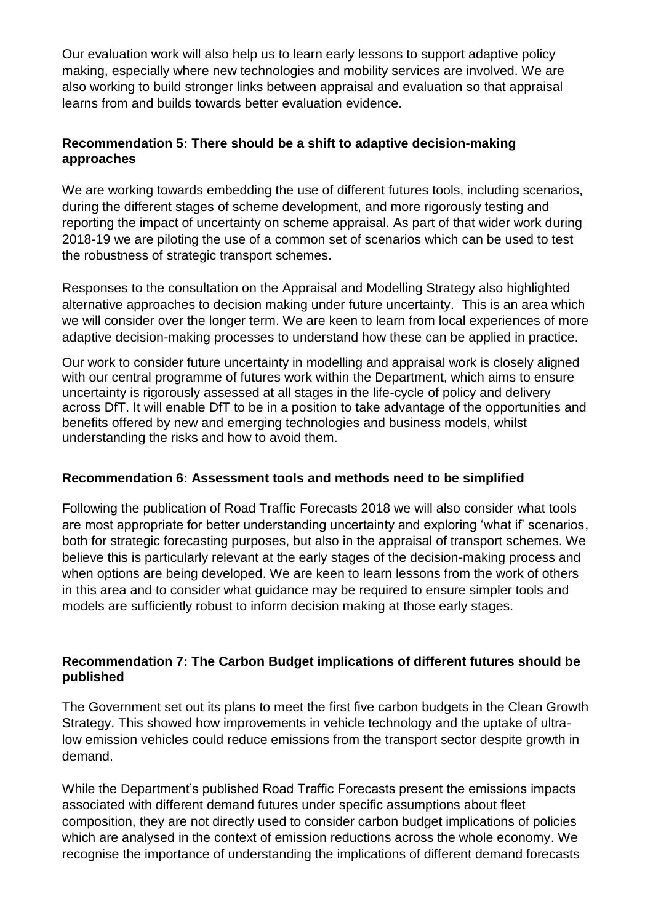Our evaluation work will also help us to learn early lessons to support adaptive policy making, especially where new technologies and mobility services are involved. We are also working to build stronger links between appraisal and evaluation so that appraisal learns from and builds towards better evaluation evidence.

## **Recommendation 5: There should be a shift to adaptive decision-making approaches**

We are working towards embedding the use of different futures tools, including scenarios, during the different stages of scheme development, and more rigorously testing and reporting the impact of uncertainty on scheme appraisal. As part of that wider work during 2018-19 we are piloting the use of a common set of scenarios which can be used to test the robustness of strategic transport schemes.

Responses to the consultation on the Appraisal and Modelling Strategy also highlighted alternative approaches to decision making under future uncertainty. This is an area which we will consider over the longer term. We are keen to learn from local experiences of more adaptive decision-making processes to understand how these can be applied in practice.

Our work to consider future uncertainty in modelling and appraisal work is closely aligned with our central programme of futures work within the Department, which aims to ensure uncertainty is rigorously assessed at all stages in the life-cycle of policy and delivery across DfT. It will enable DfT to be in a position to take advantage of the opportunities and benefits offered by new and emerging technologies and business models, whilst understanding the risks and how to avoid them.

## **Recommendation 6: Assessment tools and methods need to be simplified**

Following the publication of Road Traffic Forecasts 2018 we will also consider what tools are most appropriate for better understanding uncertainty and exploring 'what if' scenarios, both for strategic forecasting purposes, but also in the appraisal of transport schemes. We believe this is particularly relevant at the early stages of the decision-making process and when options are being developed. We are keen to learn lessons from the work of others in this area and to consider what guidance may be required to ensure simpler tools and models are sufficiently robust to inform decision making at those early stages.

### **Recommendation 7: The Carbon Budget implications of different futures should be published**

The Government set out its plans to meet the first five carbon budgets in the Clean Growth Strategy. This showed how improvements in vehicle technology and the uptake of ultralow emission vehicles could reduce emissions from the transport sector despite growth in demand.

While the Department's published Road Traffic Forecasts present the emissions impacts associated with different demand futures under specific assumptions about fleet composition, they are not directly used to consider carbon budget implications of policies which are analysed in the context of emission reductions across the whole economy. We recognise the importance of understanding the implications of different demand forecasts